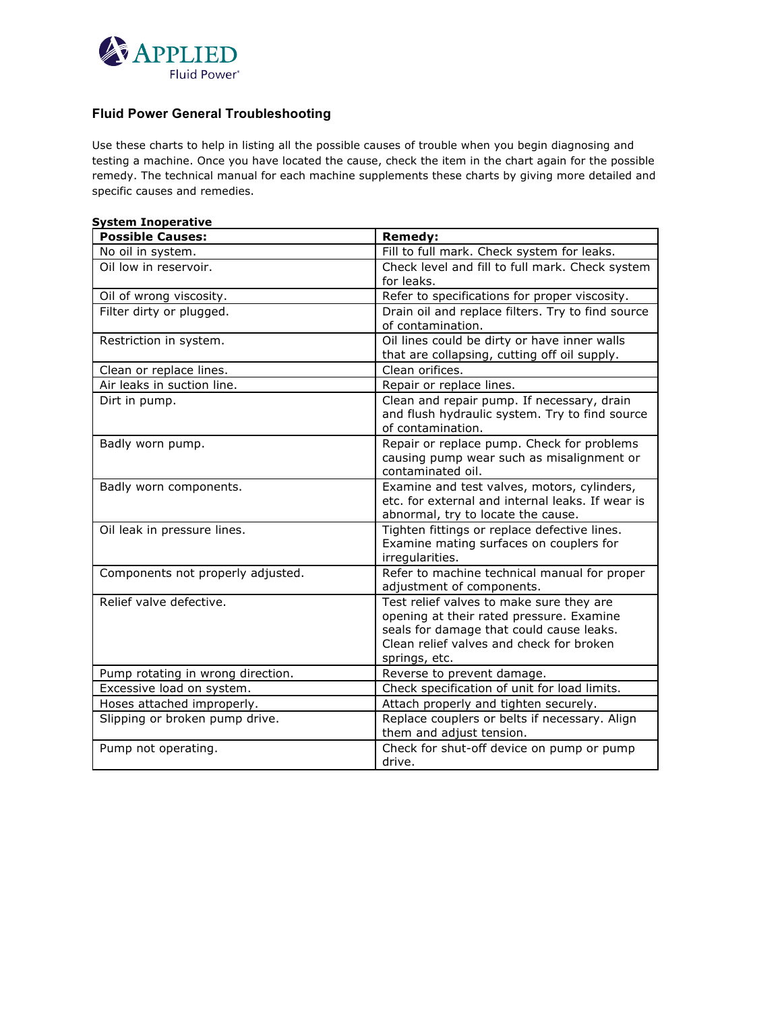

## **Fluid Power General Troubleshooting**

Use these charts to help in listing all the possible causes of trouble when you begin diagnosing and testing a machine. Once you have located the cause, check the item in the chart again for the possible remedy. The technical manual for each machine supplements these charts by giving more detailed and specific causes and remedies.

| <b>System Inoperative</b>         |                                                                                                                                                                                               |  |
|-----------------------------------|-----------------------------------------------------------------------------------------------------------------------------------------------------------------------------------------------|--|
| <b>Possible Causes:</b>           | <b>Remedy:</b>                                                                                                                                                                                |  |
| No oil in system.                 | Fill to full mark. Check system for leaks.                                                                                                                                                    |  |
| Oil low in reservoir.             | Check level and fill to full mark. Check system<br>for leaks.                                                                                                                                 |  |
| Oil of wrong viscosity.           | Refer to specifications for proper viscosity.                                                                                                                                                 |  |
| Filter dirty or plugged.          | Drain oil and replace filters. Try to find source<br>of contamination.                                                                                                                        |  |
| Restriction in system.            | Oil lines could be dirty or have inner walls<br>that are collapsing, cutting off oil supply.                                                                                                  |  |
| Clean or replace lines.           | Clean orifices.                                                                                                                                                                               |  |
| Air leaks in suction line.        | Repair or replace lines.                                                                                                                                                                      |  |
| Dirt in pump.                     | Clean and repair pump. If necessary, drain<br>and flush hydraulic system. Try to find source<br>of contamination.                                                                             |  |
| Badly worn pump.                  | Repair or replace pump. Check for problems<br>causing pump wear such as misalignment or<br>contaminated oil.                                                                                  |  |
| Badly worn components.            | Examine and test valves, motors, cylinders,<br>etc. for external and internal leaks. If wear is<br>abnormal, try to locate the cause.                                                         |  |
| Oil leak in pressure lines.       | Tighten fittings or replace defective lines.<br>Examine mating surfaces on couplers for<br>irregularities.                                                                                    |  |
| Components not properly adjusted. | Refer to machine technical manual for proper<br>adjustment of components.                                                                                                                     |  |
| Relief valve defective.           | Test relief valves to make sure they are<br>opening at their rated pressure. Examine<br>seals for damage that could cause leaks.<br>Clean relief valves and check for broken<br>springs, etc. |  |
| Pump rotating in wrong direction. | Reverse to prevent damage.                                                                                                                                                                    |  |
| Excessive load on system.         | Check specification of unit for load limits.                                                                                                                                                  |  |
| Hoses attached improperly.        | Attach properly and tighten securely.                                                                                                                                                         |  |
| Slipping or broken pump drive.    | Replace couplers or belts if necessary. Align<br>them and adjust tension.                                                                                                                     |  |
| Pump not operating.               | Check for shut-off device on pump or pump<br>drive.                                                                                                                                           |  |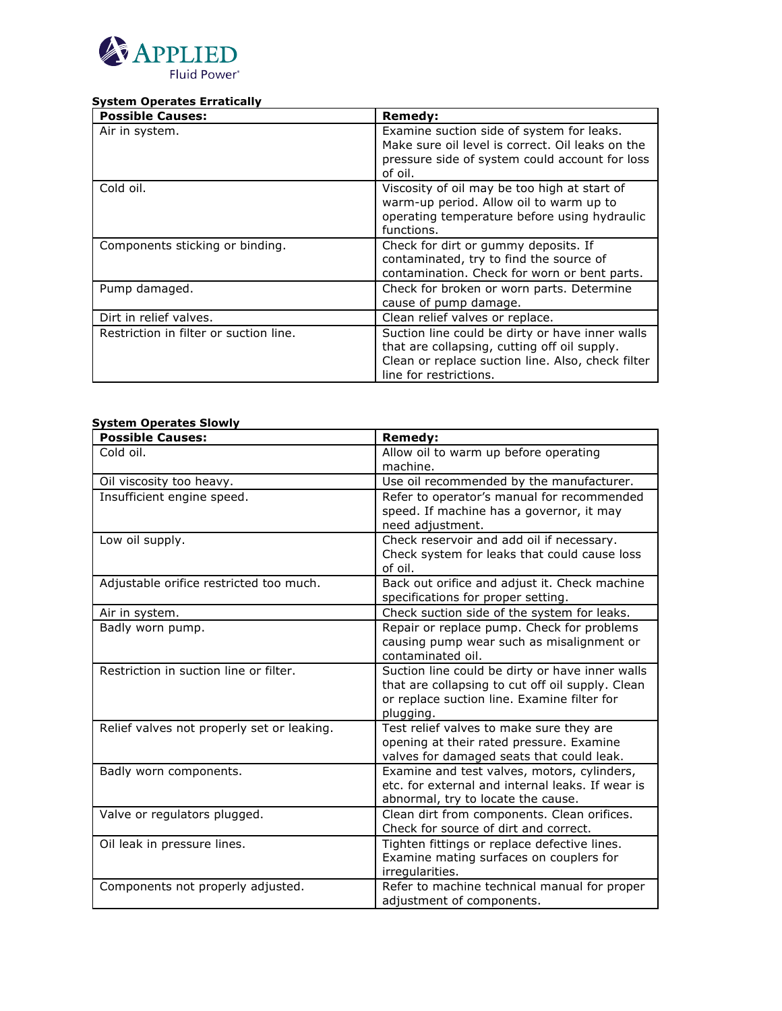

## **System Operates Erratically**

| <b>Possible Causes:</b>                | <b>Remedy:</b>                                                                                                                                                                 |
|----------------------------------------|--------------------------------------------------------------------------------------------------------------------------------------------------------------------------------|
| Air in system.                         | Examine suction side of system for leaks.<br>Make sure oil level is correct. Oil leaks on the<br>pressure side of system could account for loss<br>of oil.                     |
| Cold oil.                              | Viscosity of oil may be too high at start of<br>warm-up period. Allow oil to warm up to<br>operating temperature before using hydraulic<br>functions.                          |
| Components sticking or binding.        | Check for dirt or gummy deposits. If<br>contaminated, try to find the source of<br>contamination. Check for worn or bent parts.                                                |
| Pump damaged.                          | Check for broken or worn parts. Determine<br>cause of pump damage.                                                                                                             |
| Dirt in relief valves.                 | Clean relief valves or replace.                                                                                                                                                |
| Restriction in filter or suction line. | Suction line could be dirty or have inner walls<br>that are collapsing, cutting off oil supply.<br>Clean or replace suction line. Also, check filter<br>line for restrictions. |

## **System Operates Slowly**

| <b>Possible Causes:</b>                    | <b>Remedy:</b>                                                                                  |
|--------------------------------------------|-------------------------------------------------------------------------------------------------|
| Cold oil.                                  | Allow oil to warm up before operating                                                           |
|                                            | machine.                                                                                        |
| Oil viscosity too heavy.                   | Use oil recommended by the manufacturer.                                                        |
| Insufficient engine speed.                 | Refer to operator's manual for recommended                                                      |
|                                            | speed. If machine has a governor, it may                                                        |
|                                            | need adjustment.                                                                                |
| Low oil supply.                            | Check reservoir and add oil if necessary.                                                       |
|                                            | Check system for leaks that could cause loss                                                    |
|                                            | of oil.                                                                                         |
| Adjustable orifice restricted too much.    | Back out orifice and adjust it. Check machine                                                   |
|                                            | specifications for proper setting.                                                              |
| Air in system.                             | Check suction side of the system for leaks.                                                     |
| Badly worn pump.                           | Repair or replace pump. Check for problems                                                      |
|                                            | causing pump wear such as misalignment or                                                       |
|                                            | contaminated oil.                                                                               |
| Restriction in suction line or filter.     | Suction line could be dirty or have inner walls                                                 |
|                                            | that are collapsing to cut off oil supply. Clean<br>or replace suction line. Examine filter for |
|                                            | plugging.                                                                                       |
| Relief valves not properly set or leaking. | Test relief valves to make sure they are                                                        |
|                                            | opening at their rated pressure. Examine                                                        |
|                                            | valves for damaged seats that could leak.                                                       |
| Badly worn components.                     | Examine and test valves, motors, cylinders,                                                     |
|                                            | etc. for external and internal leaks. If wear is                                                |
|                                            | abnormal, try to locate the cause.                                                              |
| Valve or regulators plugged.               | Clean dirt from components. Clean orifices.                                                     |
|                                            | Check for source of dirt and correct.                                                           |
| Oil leak in pressure lines.                | Tighten fittings or replace defective lines.                                                    |
|                                            | Examine mating surfaces on couplers for                                                         |
|                                            | irregularities.                                                                                 |
| Components not properly adjusted.          | Refer to machine technical manual for proper                                                    |
|                                            | adjustment of components.                                                                       |